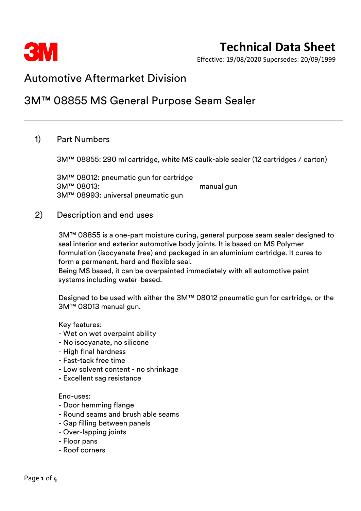

Effective: 19/08/2020 Supersedes: 20/09/1999

## Automotive Aftermarket Division

## 3M™ 08855 MS General Purpose Seam Sealer

### 1) Part Numbers

3M™ 08855: 290 ml cartridge, white MS caulk-able sealer (12 cartridges / carton)

3M™ 08012: pneumatic gun for cartridge 3M™ 08013: manual gun 3M™ 08993: universal pneumatic gun

#### 2) Description and end uses

3M™ 08855 is a one-part moisture curing, general purpose seam sealer designed to seal interior and exterior automotive body joints. It is based on MS Polymer formulation (isocyanate free) and packaged in an aluminium cartridge. It cures to form a permanent, hard and flexible seal.

Being MS based, it can be overpainted immediately with all automotive paint systems including water-based.

Designed to be used with either the 3M™ 08012 pneumatic gun for cartridge, or the 3M™ 08013 manual gun.

#### Key features:

- Wet on wet overpaint ability
- No isocyanate, no silicone
- High final hardness
- Fast-tack free time
- Low solvent content no shrinkage
- Excellent sag resistance

#### End-uses:

- Door hemming flange
- Round seams and brush able seams
- Gap filling between panels
- Over-lapping joints
- Floor pans
- Roof corners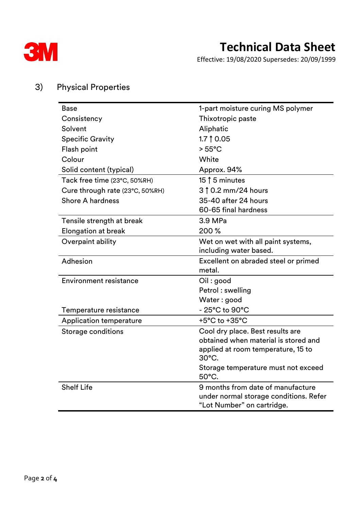

Effective: 19/08/2020 Supersedes: 20/09/1999

| <b>Base</b>                     | 1-part moisture curing MS polymer                                    |  |
|---------------------------------|----------------------------------------------------------------------|--|
| Consistency                     | Thixotropic paste                                                    |  |
| Solvent                         | Aliphatic                                                            |  |
| <b>Specific Gravity</b>         | 1.7 $\uparrow$ 0.05                                                  |  |
| Flash point                     | $> 55^{\circ}$ C                                                     |  |
| Colour                          | White                                                                |  |
| Solid content (typical)         | Approx. 94%                                                          |  |
| Tack free time (23°C, 50%RH)    | 15 $\uparrow$ 5 minutes                                              |  |
| Cure through rate (23°C, 50%RH) | 3 1 0.2 mm/24 hours                                                  |  |
| <b>Shore A hardness</b>         | 35-40 after 24 hours                                                 |  |
|                                 | 60-65 final hardness                                                 |  |
| Tensile strength at break       | 3.9 MPa                                                              |  |
| <b>Elongation at break</b>      | 200 %                                                                |  |
| Overpaint ability               | Wet on wet with all paint systems,                                   |  |
|                                 | including water based.                                               |  |
|                                 |                                                                      |  |
| Adhesion                        | Excellent on abraded steel or primed                                 |  |
|                                 | metal.                                                               |  |
| <b>Environment resistance</b>   | Oil:good                                                             |  |
|                                 | Petrol: swelling                                                     |  |
|                                 | Water: good                                                          |  |
| Temperature resistance          | - 25°C to 90°C                                                       |  |
| <b>Application temperature</b>  | +5°C to +35°C                                                        |  |
| Storage conditions              | Cool dry place. Best results are                                     |  |
|                                 | obtained when material is stored and                                 |  |
|                                 | applied at room temperature, 15 to<br>$30^{\circ}$ C.                |  |
|                                 | Storage temperature must not exceed<br>50°C.                         |  |
| <b>Shelf Life</b>               | 9 months from date of manufacture                                    |  |
|                                 | under normal storage conditions. Refer<br>"Lot Number" on cartridge. |  |

### 3) Physical Properties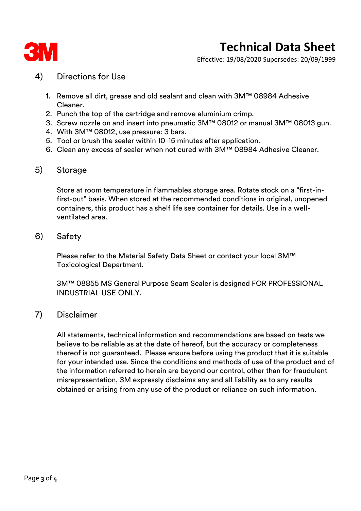

Effective: 19/08/2020 Supersedes: 20/09/1999

### 4) Directions for Use

- 1. Remove all dirt, grease and old sealant and clean with 3M™ 08984 Adhesive Cleaner.
- 2. Punch the top of the cartridge and remove aluminium crimp.
- 3. Screw nozzle on and insert into pneumatic 3M™ 08012 or manual 3M™ 08013 gun.
- 4. With 3M™ 08012, use pressure: 3 bars.
- 5. Tool or brush the sealer within 10-15 minutes after application.
- 6. Clean any excess of sealer when not cured with 3M™ 08984 Adhesive Cleaner.

### 5) Storage

Store at room temperature in flammables storage area. Rotate stock on a "first-infirst-out" basis. When stored at the recommended conditions in original, unopened containers, this product has a shelf life see container for details. Use in a wellventilated area.

### 6) Safety

Please refer to the Material Safety Data Sheet or contact your local 3M™ Toxicological Department.

3M™ 08855 MS General Purpose Seam Sealer is designed FOR PROFESSIONAL INDUSTRIAL USE ONLY.

### 7) Disclaimer

All statements, technical information and recommendations are based on tests we believe to be reliable as at the date of hereof, but the accuracy or completeness thereof is not guaranteed. Please ensure before using the product that it is suitable for your intended use. Since the conditions and methods of use of the product and of the information referred to herein are beyond our control, other than for fraudulent misrepresentation, 3M expressly disclaims any and all liability as to any results obtained or arising from any use of the product or reliance on such information.